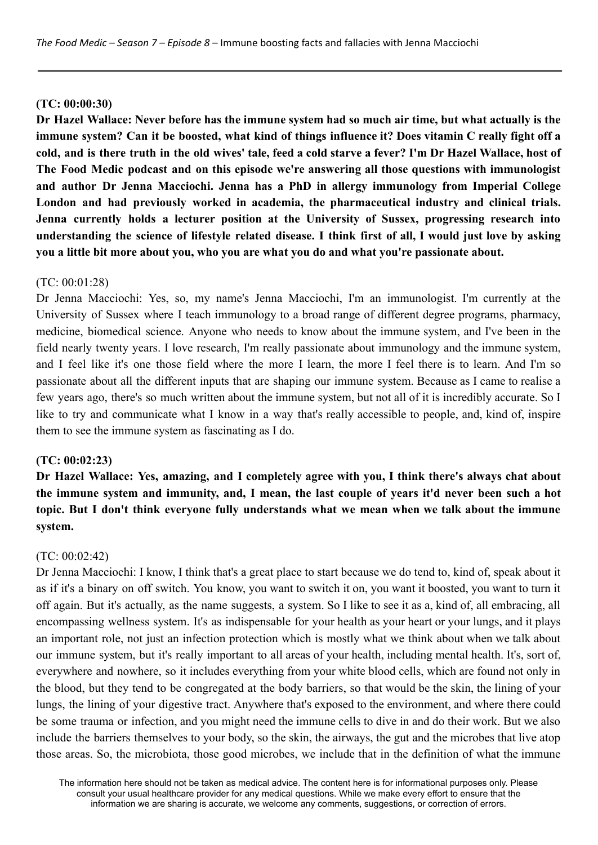### **(TC: 00:00:30)**

Dr Hazel Wallace: Never before has the immune system had so much air time, but what actually is the immune system? Can it be boosted, what kind of things influence it? Does vitamin C really fight off a cold, and is there truth in the old wives' tale, feed a cold starve a fever? I'm Dr Hazel Wallace, host of **The Food Medic podcast and on this episode we're answering all those questions with immunologist and author Dr Jenna Macciochi. Jenna has a PhD in allergy immunology from Imperial College London and had previously worked in academia, the pharmaceutical industry and clinical trials. Jenna currently holds a lecturer position at the University of Sussex, progressing research into** understanding the science of lifestyle related disease. I think first of all, I would just love by asking **you a little bit more about you, who you are what you do and what you're passionate about.**

### $(TC: 00.01.28)$

Dr Jenna Macciochi: Yes, so, my name's Jenna Macciochi, I'm an immunologist. I'm currently at the University of Sussex where I teach immunology to a broad range of different degree programs, pharmacy, medicine, biomedical science. Anyone who needs to know about the immune system, and I've been in the field nearly twenty years. I love research, I'm really passionate about immunology and the immune system, and I feel like it's one those field where the more I learn, the more I feel there is to learn. And I'm so passionate about all the different inputs that are shaping our immune system. Because as I came to realise a few years ago, there's so much written about the immune system, but not all of it is incredibly accurate. So I like to try and communicate what I know in a way that's really accessible to people, and, kind of, inspire them to see the immune system as fascinating as I do.

## **(TC: 00:02:23)**

**Dr Hazel Wallace: Yes, amazing, and I completely agree with you, I think there's always chat about** the immune system and immunity, and, I mean, the last couple of years it'd never been such a hot **topic. But I don't think everyone fully understands what we mean when we talk about the immune system.**

## (TC: 00:02:42)

Dr Jenna Macciochi: I know, I think that's a great place to start because we do tend to, kind of, speak about it as if it's a binary on off switch. You know, you want to switch it on, you want it boosted, you want to turn it off again. But it's actually, as the name suggests, a system. So I like to see it as a, kind of, all embracing, all encompassing wellness system. It's as indispensable for your health as your heart or your lungs, and it plays an important role, not just an infection protection which is mostly what we think about when we talk about our immune system, but it's really important to all areas of your health, including mental health. It's, sort of, everywhere and nowhere, so it includes everything from your white blood cells, which are found not only in the blood, but they tend to be congregated at the body barriers, so that would be the skin, the lining of your lungs, the lining of your digestive tract. Anywhere that's exposed to the environment, and where there could be some trauma or infection, and you might need the immune cells to dive in and do their work. But we also include the barriers themselves to your body, so the skin, the airways, the gut and the microbes that live atop those areas. So, the microbiota, those good microbes, we include that in the definition of what the immune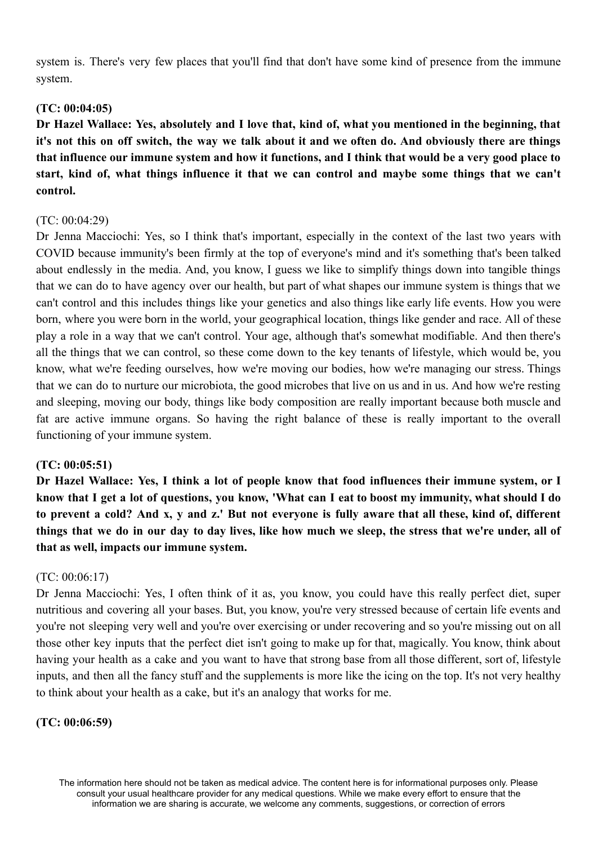system is. There's very few places that you'll find that don't have some kind of presence from the immune system.

### **(TC: 00:04:05)**

Dr Hazel Wallace: Yes, absolutely and I love that, kind of, what you mentioned in the beginning, that it's not this on off switch, the way we talk about it and we often do. And obviously there are things that influence our immune system and how it functions, and I think that would be a very good place to **start, kind of, what things influence it that we can control and maybe some things that we can't control.**

### $(TC: 00.04.29)$

Dr Jenna Macciochi: Yes, so I think that's important, especially in the context of the last two years with COVID because immunity's been firmly at the top of everyone's mind and it's something that's been talked about endlessly in the media. And, you know, I guess we like to simplify things down into tangible things that we can do to have agency over our health, but part of what shapes our immune system is things that we can't control and this includes things like your genetics and also things like early life events. How you were born, where you were born in the world, your geographical location, things like gender and race. All of these play a role in a way that we can't control. Your age, although that's somewhat modifiable. And then there's all the things that we can control, so these come down to the key tenants of lifestyle, which would be, you know, what we're feeding ourselves, how we're moving our bodies, how we're managing our stress. Things that we can do to nurture our microbiota, the good microbes that live on us and in us. And how we're resting and sleeping, moving our body, things like body composition are really important because both muscle and fat are active immune organs. So having the right balance of these is really important to the overall functioning of your immune system.

#### **(TC: 00:05:51)**

Dr Hazel Wallace: Yes, I think a lot of people know that food influences their immune system, or I know that I get a lot of questions, you know, 'What can I eat to boost my immunity, what should I do to prevent a cold? And x, y and z.' But not everyone is fully aware that all these, kind of, different things that we do in our day to day lives, like how much we sleep, the stress that we're under, all of **that as well, impacts our immune system.**

## (TC: 00:06:17)

Dr Jenna Macciochi: Yes, I often think of it as, you know, you could have this really perfect diet, super nutritious and covering all your bases. But, you know, you're very stressed because of certain life events and you're not sleeping very well and you're over exercising or under recovering and so you're missing out on all those other key inputs that the perfect diet isn't going to make up for that, magically. You know, think about having your health as a cake and you want to have that strong base from all those different, sort of, lifestyle inputs, and then all the fancy stuff and the supplements is more like the icing on the top. It's not very healthy to think about your health as a cake, but it's an analogy that works for me.

### **(TC: 00:06:59)**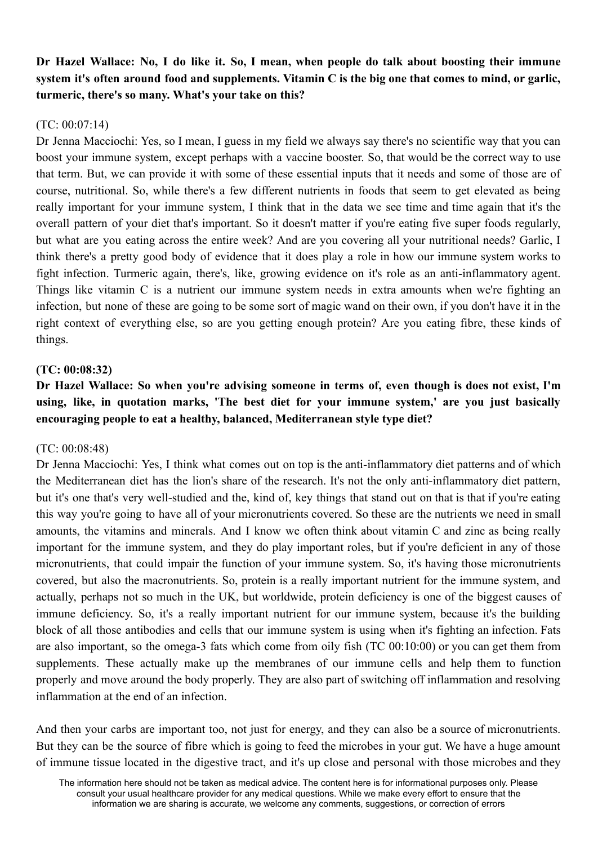# Dr Hazel Wallace: No. I do like it. So. I mean, when people do talk about boosting their immune system it's often around food and supplements. Vitamin C is the big one that comes to mind, or garlic, **turmeric, there's so many. What's your take on this?**

## (TC: 00:07:14)

Dr Jenna Macciochi: Yes, so I mean, I guess in my field we always say there's no scientific way that you can boost your immune system, except perhaps with a vaccine booster. So, that would be the correct way to use that term. But, we can provide it with some of these essential inputs that it needs and some of those are of course, nutritional. So, while there's a few different nutrients in foods that seem to get elevated as being really important for your immune system, I think that in the data we see time and time again that it's the overall pattern of your diet that's important. So it doesn't matter if you're eating five super foods regularly, but what are you eating across the entire week? And are you covering all your nutritional needs? Garlic, I think there's a pretty good body of evidence that it does play a role in how our immune system works to fight infection. Turmeric again, there's, like, growing evidence on it's role as an anti-inflammatory agent. Things like vitamin C is a nutrient our immune system needs in extra amounts when we're fighting an infection, but none of these are going to be some sort of magic wand on their own, if you don't have it in the right context of everything else, so are you getting enough protein? Are you eating fibre, these kinds of things.

## **(TC: 00:08:32)**

# **Dr Hazel Wallace: So when you're advising someone in terms of, even though is does not exist, I'm using, like, in quotation marks, 'The best diet for your immune system,' are you just basically encouraging people to eat a healthy, balanced, Mediterranean style type diet?**

## (TC: 00:08:48)

Dr Jenna Macciochi: Yes, I think what comes out on top is the anti-inflammatory diet patterns and of which the Mediterranean diet has the lion's share of the research. It's not the only anti-inflammatory diet pattern, but it's one that's very well-studied and the, kind of, key things that stand out on that is that if you're eating this way you're going to have all of your micronutrients covered. So these are the nutrients we need in small amounts, the vitamins and minerals. And I know we often think about vitamin C and zinc as being really important for the immune system, and they do play important roles, but if you're deficient in any of those micronutrients, that could impair the function of your immune system. So, it's having those micronutrients covered, but also the macronutrients. So, protein is a really important nutrient for the immune system, and actually, perhaps not so much in the UK, but worldwide, protein deficiency is one of the biggest causes of immune deficiency. So, it's a really important nutrient for our immune system, because it's the building block of all those antibodies and cells that our immune system is using when it's fighting an infection. Fats are also important, so the omega-3 fats which come from oily fish (TC 00:10:00) or you can get them from supplements. These actually make up the membranes of our immune cells and help them to function properly and move around the body properly. They are also part of switching off inflammation and resolving inflammation at the end of an infection.

And then your carbs are important too, not just for energy, and they can also be a source of micronutrients. But they can be the source of fibre which is going to feed the microbes in your gut. We have a huge amount of immune tissue located in the digestive tract, and it's up close and personal with those microbes and they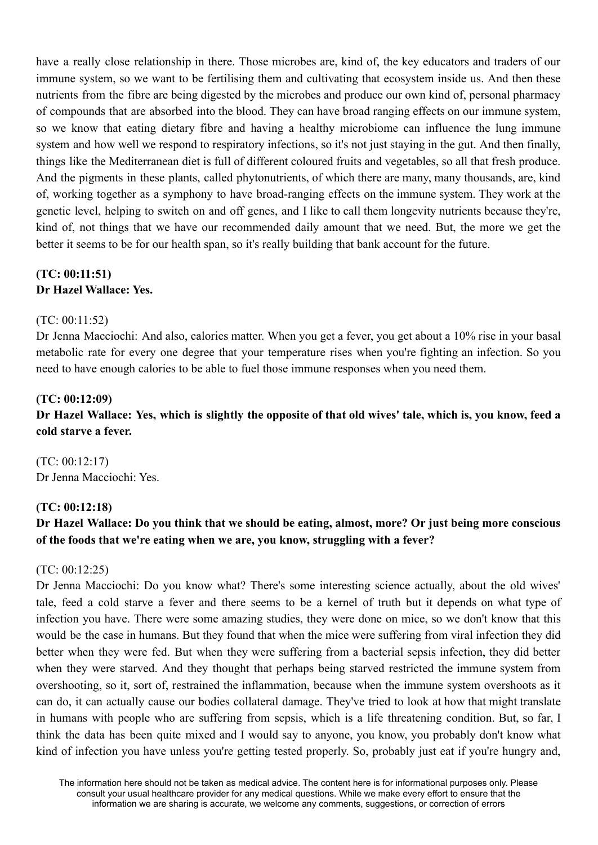have a really close relationship in there. Those microbes are, kind of, the key educators and traders of our immune system, so we want to be fertilising them and cultivating that ecosystem inside us. And then these nutrients from the fibre are being digested by the microbes and produce our own kind of, personal pharmacy of compounds that are absorbed into the blood. They can have broad ranging effects on our immune system, so we know that eating dietary fibre and having a healthy microbiome can influence the lung immune system and how well we respond to respiratory infections, so it's not just staying in the gut. And then finally, things like the Mediterranean diet is full of different coloured fruits and vegetables, so all that fresh produce. And the pigments in these plants, called phytonutrients, of which there are many, many thousands, are, kind of, working together as a symphony to have broad-ranging effects on the immune system. They work at the genetic level, helping to switch on and off genes, and I like to call them longevity nutrients because they're, kind of, not things that we have our recommended daily amount that we need. But, the more we get the better it seems to be for our health span, so it's really building that bank account for the future.

## **(TC: 00:11:51) Dr Hazel Wallace: Yes.**

#### (TC: 00:11:52)

Dr Jenna Macciochi: And also, calories matter. When you get a fever, you get about a 10% rise in your basal metabolic rate for every one degree that your temperature rises when you're fighting an infection. So you need to have enough calories to be able to fuel those immune responses when you need them.

#### **(TC: 00:12:09)**

Dr Hazel Wallace: Yes, which is slightly the opposite of that old wives' tale, which is, you know, feed a **cold starve a fever.**

(TC: 00:12:17) Dr Jenna Macciochi: Yes.

#### **(TC: 00:12:18)**

# Dr Hazel Wallace: Do you think that we should be eating, almost, more? Or just being more conscious **of the foods that we're eating when we are, you know, struggling with a fever?**

#### (TC: 00:12:25)

Dr Jenna Macciochi: Do you know what? There's some interesting science actually, about the old wives' tale, feed a cold starve a fever and there seems to be a kernel of truth but it depends on what type of infection you have. There were some amazing studies, they were done on mice, so we don't know that this would be the case in humans. But they found that when the mice were suffering from viral infection they did better when they were fed. But when they were suffering from a bacterial sepsis infection, they did better when they were starved. And they thought that perhaps being starved restricted the immune system from overshooting, so it, sort of, restrained the inflammation, because when the immune system overshoots as it can do, it can actually cause our bodies collateral damage. They've tried to look at how that might translate in humans with people who are suffering from sepsis, which is a life threatening condition. But, so far, I think the data has been quite mixed and I would say to anyone, you know, you probably don't know what kind of infection you have unless you're getting tested properly. So, probably just eat if you're hungry and,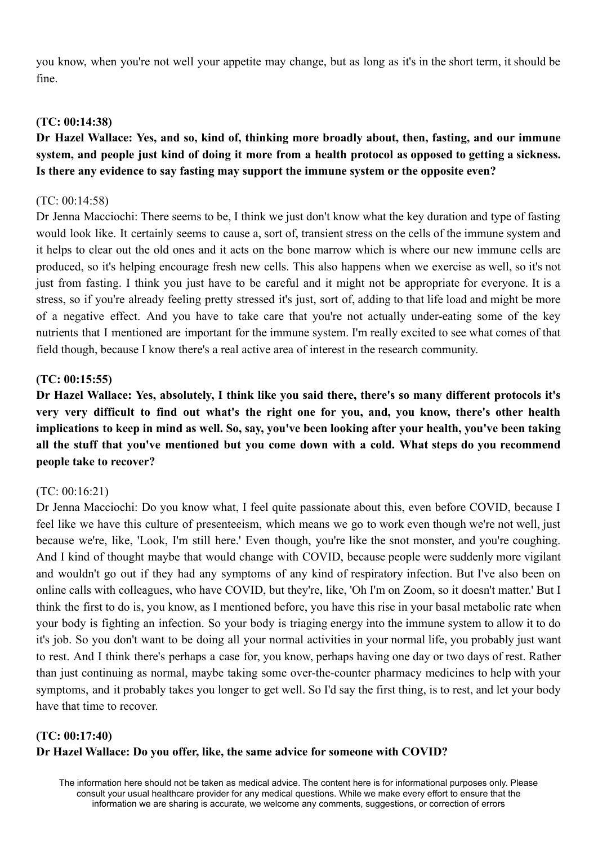you know, when you're not well your appetite may change, but as long as it's in the short term, it should be fine.

### **(TC: 00:14:38)**

# **Dr Hazel Wallace: Yes, and so, kind of, thinking more broadly about, then, fasting, and our immune** system, and people just kind of doing it more from a health protocol as opposed to getting a sickness. **Is there any evidence to say fasting may support the immune system or the opposite even?**

#### (TC: 00:14:58)

Dr Jenna Macciochi: There seems to be, I think we just don't know what the key duration and type of fasting would look like. It certainly seems to cause a, sort of, transient stress on the cells of the immune system and it helps to clear out the old ones and it acts on the bone marrow which is where our new immune cells are produced, so it's helping encourage fresh new cells. This also happens when we exercise as well, so it's not just from fasting. I think you just have to be careful and it might not be appropriate for everyone. It is a stress, so if you're already feeling pretty stressed it's just, sort of, adding to that life load and might be more of a negative effect. And you have to take care that you're not actually under-eating some of the key nutrients that I mentioned are important for the immune system. I'm really excited to see what comes of that field though, because I know there's a real active area of interest in the research community.

#### **(TC: 00:15:55)**

**Dr Hazel Wallace: Yes, absolutely, I think like you said there, there's so many different protocols it's very very difficult to find out what's the right one for you, and, you know, there's other health** implications to keep in mind as well. So, say, you've been looking after your health, you've been taking **all the stuff that you've mentioned but you come down with a cold. What steps do you recommend people take to recover?**

#### (TC: 00:16:21)

Dr Jenna Macciochi: Do you know what, I feel quite passionate about this, even before COVID, because I feel like we have this culture of presenteeism, which means we go to work even though we're not well, just because we're, like, 'Look, I'm still here.' Even though, you're like the snot monster, and you're coughing. And I kind of thought maybe that would change with COVID, because people were suddenly more vigilant and wouldn't go out if they had any symptoms of any kind of respiratory infection. But I've also been on online calls with colleagues, who have COVID, but they're, like, 'Oh I'm on Zoom, so it doesn't matter.' But I think the first to do is, you know, as I mentioned before, you have this rise in your basal metabolic rate when your body is fighting an infection. So your body is triaging energy into the immune system to allow it to do it's job. So you don't want to be doing all your normal activities in your normal life, you probably just want to rest. And I think there's perhaps a case for, you know, perhaps having one day or two days of rest. Rather than just continuing as normal, maybe taking some over-the-counter pharmacy medicines to help with your symptoms, and it probably takes you longer to get well. So I'd say the first thing, is to rest, and let your body have that time to recover.

# **(TC: 00:17:40) Dr Hazel Wallace: Do you offer, like, the same advice for someone with COVID?**

The information here should not be taken as medical advice. The content here is for informational purposes only. Please consult your usual healthcare provider for any medical questions. While we make every effort to ensure that the information we are sharing is accurate, we welcome any comments, suggestions, or correction of errors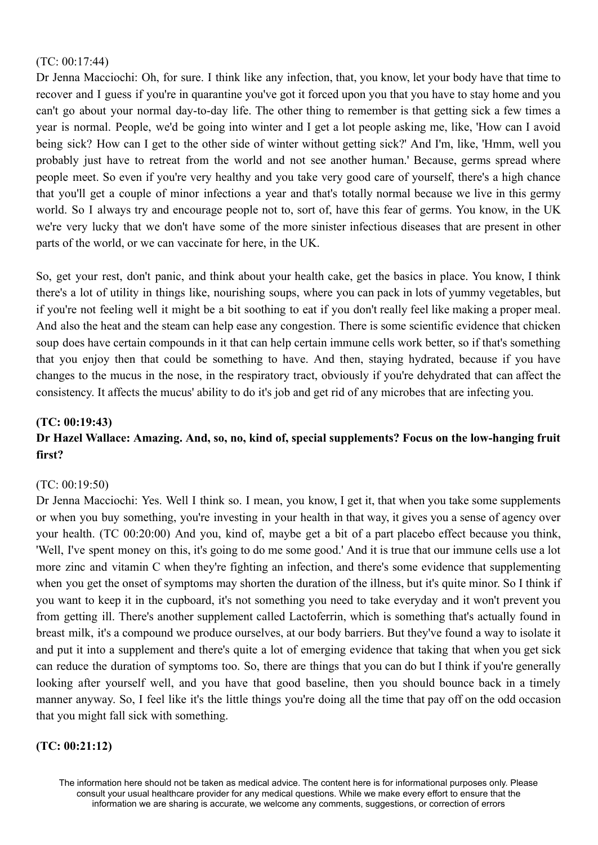### (TC: 00:17:44)

Dr Jenna Macciochi: Oh, for sure. I think like any infection, that, you know, let your body have that time to recover and I guess if you're in quarantine you've got it forced upon you that you have to stay home and you can't go about your normal day-to-day life. The other thing to remember is that getting sick a few times a year is normal. People, we'd be going into winter and I get a lot people asking me, like, 'How can I avoid being sick? How can I get to the other side of winter without getting sick?' And I'm, like, 'Hmm, well you probably just have to retreat from the world and not see another human.' Because, germs spread where people meet. So even if you're very healthy and you take very good care of yourself, there's a high chance that you'll get a couple of minor infections a year and that's totally normal because we live in this germy world. So I always try and encourage people not to, sort of, have this fear of germs. You know, in the UK we're very lucky that we don't have some of the more sinister infectious diseases that are present in other parts of the world, or we can vaccinate for here, in the UK.

So, get your rest, don't panic, and think about your health cake, get the basics in place. You know, I think there's a lot of utility in things like, nourishing soups, where you can pack in lots of yummy vegetables, but if you're not feeling well it might be a bit soothing to eat if you don't really feel like making a proper meal. And also the heat and the steam can help ease any congestion. There is some scientific evidence that chicken soup does have certain compounds in it that can help certain immune cells work better, so if that's something that you enjoy then that could be something to have. And then, staying hydrated, because if you have changes to the mucus in the nose, in the respiratory tract, obviously if you're dehydrated that can affect the consistency. It affects the mucus' ability to do it's job and get rid of any microbes that are infecting you.

### **(TC: 00:19:43)**

## **Dr Hazel Wallace: Amazing. And, so, no, kind of, special supplements? Focus on the low-hanging fruit first?**

#### (TC: 00:19:50)

Dr Jenna Macciochi: Yes. Well I think so. I mean, you know, I get it, that when you take some supplements or when you buy something, you're investing in your health in that way, it gives you a sense of agency over your health. (TC 00:20:00) And you, kind of, maybe get a bit of a part placebo effect because you think, 'Well, I've spent money on this, it's going to do me some good.' And it is true that our immune cells use a lot more zinc and vitamin C when they're fighting an infection, and there's some evidence that supplementing when you get the onset of symptoms may shorten the duration of the illness, but it's quite minor. So I think if you want to keep it in the cupboard, it's not something you need to take everyday and it won't prevent you from getting ill. There's another supplement called Lactoferrin, which is something that's actually found in breast milk, it's a compound we produce ourselves, at our body barriers. But they've found a way to isolate it and put it into a supplement and there's quite a lot of emerging evidence that taking that when you get sick can reduce the duration of symptoms too. So, there are things that you can do but I think if you're generally looking after yourself well, and you have that good baseline, then you should bounce back in a timely manner anyway. So, I feel like it's the little things you're doing all the time that pay off on the odd occasion that you might fall sick with something.

## **(TC: 00:21:12)**

The information here should not be taken as medical advice. The content here is for informational purposes only. Please consult your usual healthcare provider for any medical questions. While we make every effort to ensure that the information we are sharing is accurate, we welcome any comments, suggestions, or correction of errors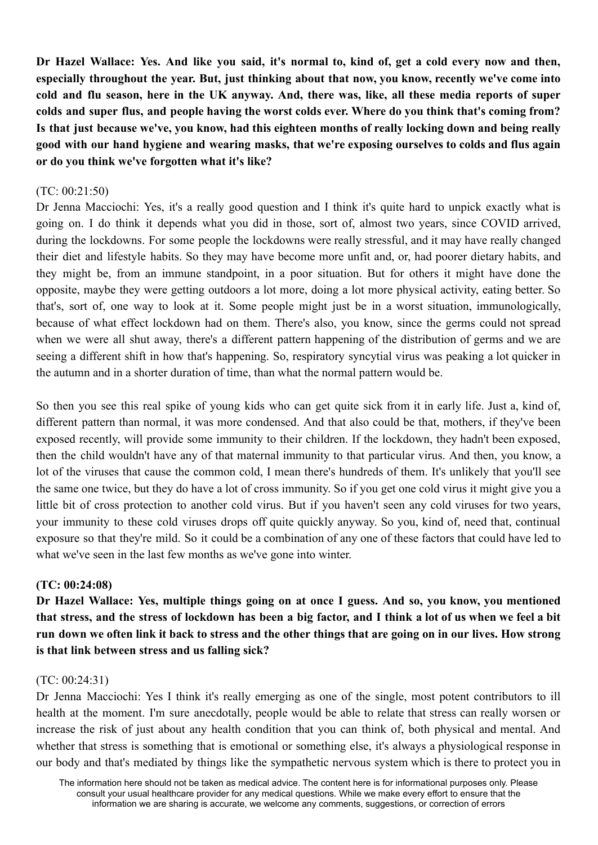Dr Hazel Wallace: Yes. And like vou said, it's normal to, kind of, get a cold every now and then, **especially throughout the year. But, just thinking about that now, you know, recently we've come into** cold and flu season, here in the UK anyway. And, there was, like, all these media reports of super colds and super flus, and people having the worst colds ever. Where do you think that's coming from? Is that just because we've, you know, had this eighteen months of really locking down and being really **good with our hand hygiene and wearing masks, that we're exposing ourselves to colds and flus again or do you think we've forgotten what it's like?**

### (TC: 00:21:50)

Dr Jenna Macciochi: Yes, it's a really good question and I think it's quite hard to unpick exactly what is going on. I do think it depends what you did in those, sort of, almost two years, since COVID arrived, during the lockdowns. For some people the lockdowns were really stressful, and it may have really changed their diet and lifestyle habits. So they may have become more unfit and, or, had poorer dietary habits, and they might be, from an immune standpoint, in a poor situation. But for others it might have done the opposite, maybe they were getting outdoors a lot more, doing a lot more physical activity, eating better. So that's, sort of, one way to look at it. Some people might just be in a worst situation, immunologically, because of what effect lockdown had on them. There's also, you know, since the germs could not spread when we were all shut away, there's a different pattern happening of the distribution of germs and we are seeing a different shift in how that's happening. So, respiratory syncytial virus was peaking a lot quicker in the autumn and in a shorter duration of time, than what the normal pattern would be.

So then you see this real spike of young kids who can get quite sick from it in early life. Just a, kind of, different pattern than normal, it was more condensed. And that also could be that, mothers, if they've been exposed recently, will provide some immunity to their children. If the lockdown, they hadn't been exposed, then the child wouldn't have any of that maternal immunity to that particular virus. And then, you know, a lot of the viruses that cause the common cold, I mean there's hundreds of them. It's unlikely that you'll see the same one twice, but they do have a lot of cross immunity. So if you get one cold virus it might give you a little bit of cross protection to another cold virus. But if you haven't seen any cold viruses for two years, your immunity to these cold viruses drops off quite quickly anyway. So you, kind of, need that, continual exposure so that they're mild. So it could be a combination of any one of these factors that could have led to what we've seen in the last few months as we've gone into winter.

#### **(TC: 00:24:08)**

**Dr Hazel Wallace: Yes, multiple things going on at once I guess. And so, you know, you mentioned** that stress, and the stress of lockdown has been a big factor, and I think a lot of us when we feel a bit run down we often link it back to stress and the other things that are going on in our lives. How strong **is that link between stress and us falling sick?**

#### (TC: 00:24:31)

Dr Jenna Macciochi: Yes I think it's really emerging as one of the single, most potent contributors to ill health at the moment. I'm sure anecdotally, people would be able to relate that stress can really worsen or increase the risk of just about any health condition that you can think of, both physical and mental. And whether that stress is something that is emotional or something else, it's always a physiological response in our body and that's mediated by things like the sympathetic nervous system which is there to protect you in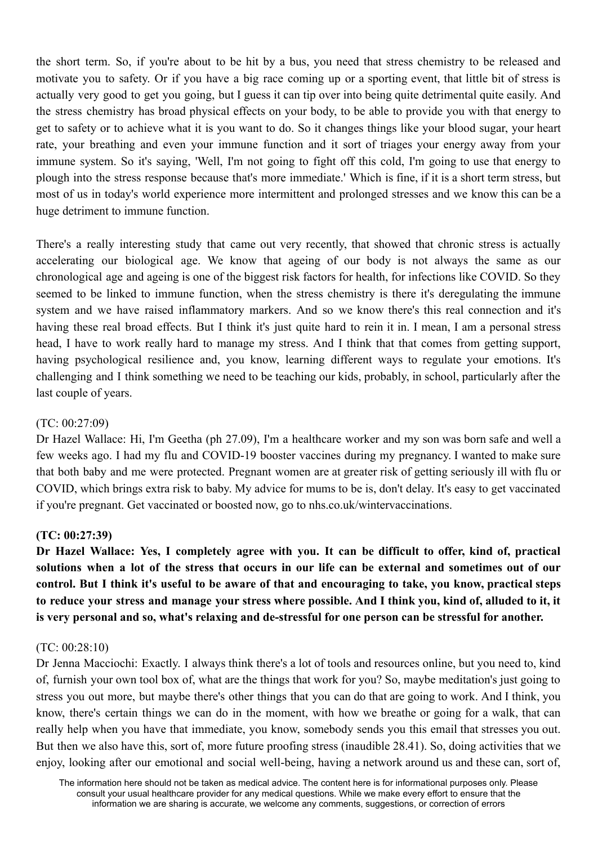the short term. So, if you're about to be hit by a bus, you need that stress chemistry to be released and motivate you to safety. Or if you have a big race coming up or a sporting event, that little bit of stress is actually very good to get you going, but I guess it can tip over into being quite detrimental quite easily. And the stress chemistry has broad physical effects on your body, to be able to provide you with that energy to get to safety or to achieve what it is you want to do. So it changes things like your blood sugar, your heart rate, your breathing and even your immune function and it sort of triages your energy away from your immune system. So it's saying, 'Well, I'm not going to fight off this cold, I'm going to use that energy to plough into the stress response because that's more immediate.' Which is fine, if it is a short term stress, but most of us in today's world experience more intermittent and prolonged stresses and we know this can be a huge detriment to immune function.

There's a really interesting study that came out very recently, that showed that chronic stress is actually accelerating our biological age. We know that ageing of our body is not always the same as our chronological age and ageing is one of the biggest risk factors for health, for infections like COVID. So they seemed to be linked to immune function, when the stress chemistry is there it's deregulating the immune system and we have raised inflammatory markers. And so we know there's this real connection and it's having these real broad effects. But I think it's just quite hard to rein it in. I mean, I am a personal stress head, I have to work really hard to manage my stress. And I think that that comes from getting support, having psychological resilience and, you know, learning different ways to regulate your emotions. It's challenging and I think something we need to be teaching our kids, probably, in school, particularly after the last couple of years.

### (TC: 00:27:09)

Dr Hazel Wallace: Hi, I'm Geetha (ph 27.09), I'm a healthcare worker and my son was born safe and well a few weeks ago. I had my flu and COVID-19 booster vaccines during my pregnancy. I wanted to make sure that both baby and me were protected. Pregnant women are at greater risk of getting seriously ill with flu or COVID, which brings extra risk to baby. My advice for mums to be is, don't delay. It's easy to get vaccinated if you're pregnant. Get vaccinated or boosted now, go to nhs.co.uk/wintervaccinations.

## **(TC: 00:27:39)**

Dr Hazel Wallace: Yes, I completely agree with you. It can be difficult to offer, kind of, practical solutions when a lot of the stress that occurs in our life can be external and sometimes out of our control. But I think it's useful to be aware of that and encouraging to take, you know, practical steps to reduce your stress and manage your stress where possible. And I think you, kind of, alluded to it, it **is very personal and so, what's relaxing and de-stressful for one person can be stressful for another.**

#### (TC: 00:28:10)

Dr Jenna Macciochi: Exactly. I always think there's a lot of tools and resources online, but you need to, kind of, furnish your own tool box of, what are the things that work for you? So, maybe meditation's just going to stress you out more, but maybe there's other things that you can do that are going to work. And I think, you know, there's certain things we can do in the moment, with how we breathe or going for a walk, that can really help when you have that immediate, you know, somebody sends you this email that stresses you out. But then we also have this, sort of, more future proofing stress (inaudible 28.41). So, doing activities that we enjoy, looking after our emotional and social well-being, having a network around us and these can, sort of,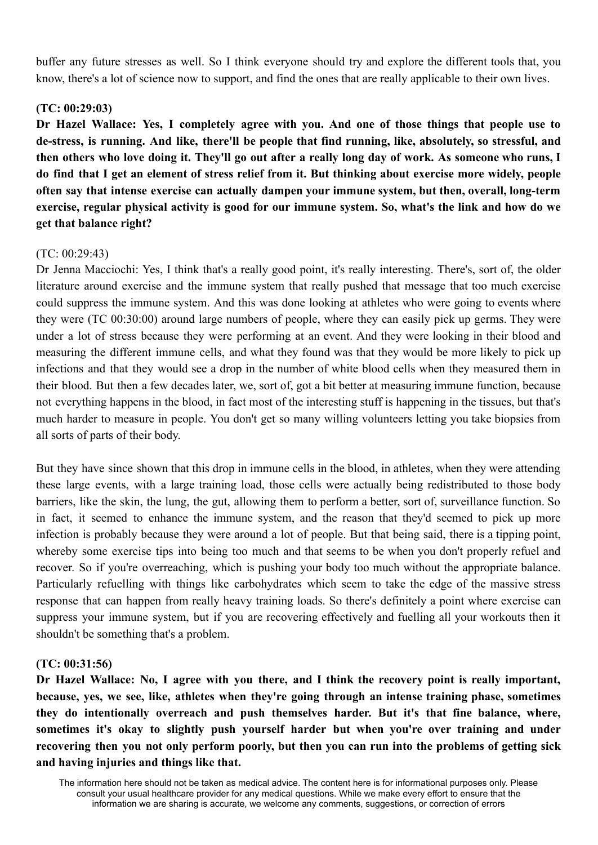buffer any future stresses as well. So I think everyone should try and explore the different tools that, you know, there's a lot of science now to support, and find the ones that are really applicable to their own lives.

### **(TC: 00:29:03)**

**Dr Hazel Wallace: Yes, I completely agree with you. And one of those things that people use to de-stress, is running. And like, there'll be people that find running, like, absolutely, so stressful, and** then others who love doing it. They'll go out after a really long day of work. As someone who runs, I do find that I get an element of stress relief from it. But thinking about exercise more widely, people **often say that intense exercise can actually dampen your immune system, but then, overall, long-term** exercise, regular physical activity is good for our immune system. So, what's the link and how do we **get that balance right?**

### (TC: 00:29:43)

Dr Jenna Macciochi: Yes, I think that's a really good point, it's really interesting. There's, sort of, the older literature around exercise and the immune system that really pushed that message that too much exercise could suppress the immune system. And this was done looking at athletes who were going to events where they were (TC 00:30:00) around large numbers of people, where they can easily pick up germs. They were under a lot of stress because they were performing at an event. And they were looking in their blood and measuring the different immune cells, and what they found was that they would be more likely to pick up infections and that they would see a drop in the number of white blood cells when they measured them in their blood. But then a few decades later, we, sort of, got a bit better at measuring immune function, because not everything happens in the blood, in fact most of the interesting stuff is happening in the tissues, but that's much harder to measure in people. You don't get so many willing volunteers letting you take biopsies from all sorts of parts of their body.

But they have since shown that this drop in immune cells in the blood, in athletes, when they were attending these large events, with a large training load, those cells were actually being redistributed to those body barriers, like the skin, the lung, the gut, allowing them to perform a better, sort of, surveillance function. So in fact, it seemed to enhance the immune system, and the reason that they'd seemed to pick up more infection is probably because they were around a lot of people. But that being said, there is a tipping point, whereby some exercise tips into being too much and that seems to be when you don't properly refuel and recover. So if you're overreaching, which is pushing your body too much without the appropriate balance. Particularly refuelling with things like carbohydrates which seem to take the edge of the massive stress response that can happen from really heavy training loads. So there's definitely a point where exercise can suppress your immune system, but if you are recovering effectively and fuelling all your workouts then it shouldn't be something that's a problem.

#### **(TC: 00:31:56)**

**Dr Hazel Wallace: No, I agree with you there, and I think the recovery point is really important, because, yes, we see, like, athletes when they're going through an intense training phase, sometimes they do intentionally overreach and push themselves harder. But it's that fine balance, where, sometimes it's okay to slightly push yourself harder but when you're over training and under** recovering then you not only perform poorly, but then you can run into the problems of getting sick **and having injuries and things like that.**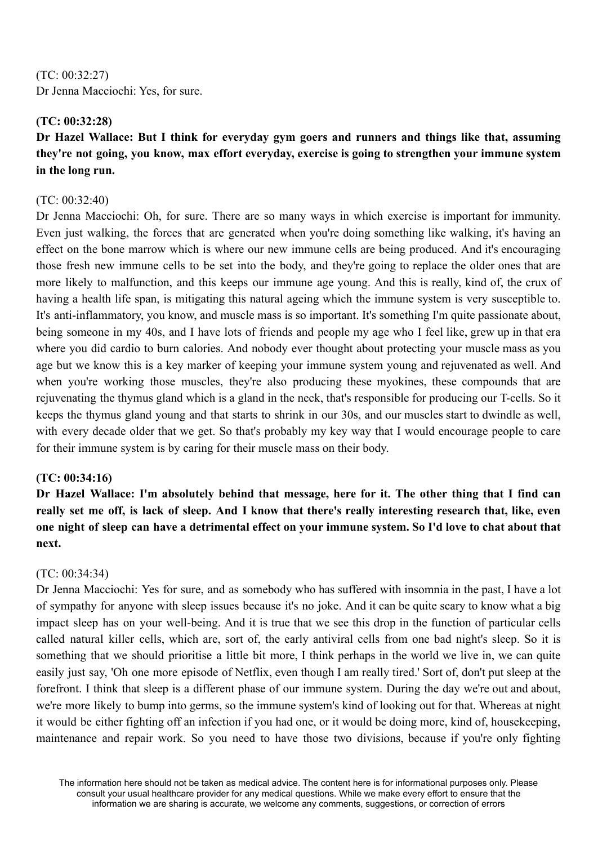(TC: 00:32:27) Dr Jenna Macciochi: Yes, for sure.

## **(TC: 00:32:28)**

# **Dr Hazel Wallace: But I think for everyday gym goers and runners and things like that, assuming they're not going, you know, max effort everyday, exercise is going to strengthen your immune system in the long run.**

## (TC: 00:32:40)

Dr Jenna Macciochi: Oh, for sure. There are so many ways in which exercise is important for immunity. Even just walking, the forces that are generated when you're doing something like walking, it's having an effect on the bone marrow which is where our new immune cells are being produced. And it's encouraging those fresh new immune cells to be set into the body, and they're going to replace the older ones that are more likely to malfunction, and this keeps our immune age young. And this is really, kind of, the crux of having a health life span, is mitigating this natural ageing which the immune system is very susceptible to. It's anti-inflammatory, you know, and muscle mass is so important. It's something I'm quite passionate about, being someone in my 40s, and I have lots of friends and people my age who I feel like, grew up in that era where you did cardio to burn calories. And nobody ever thought about protecting your muscle mass as you age but we know this is a key marker of keeping your immune system young and rejuvenated as well. And when you're working those muscles, they're also producing these myokines, these compounds that are rejuvenating the thymus gland which is a gland in the neck, that's responsible for producing our T-cells. So it keeps the thymus gland young and that starts to shrink in our 30s, and our muscles start to dwindle as well, with every decade older that we get. So that's probably my key way that I would encourage people to care for their immune system is by caring for their muscle mass on their body.

## **(TC: 00:34:16)**

**Dr Hazel Wallace: I'm absolutely behind that message, here for it. The other thing that I find can** really set me off, is lack of sleep. And I know that there's really interesting research that, like, even one night of sleep can have a detrimental effect on your immune system. So I'd love to chat about that **next.**

## (TC: 00:34:34)

Dr Jenna Macciochi: Yes for sure, and as somebody who has suffered with insomnia in the past, I have a lot of sympathy for anyone with sleep issues because it's no joke. And it can be quite scary to know what a big impact sleep has on your well-being. And it is true that we see this drop in the function of particular cells called natural killer cells, which are, sort of, the early antiviral cells from one bad night's sleep. So it is something that we should prioritise a little bit more, I think perhaps in the world we live in, we can quite easily just say, 'Oh one more episode of Netflix, even though I am really tired.' Sort of, don't put sleep at the forefront. I think that sleep is a different phase of our immune system. During the day we're out and about, we're more likely to bump into germs, so the immune system's kind of looking out for that. Whereas at night it would be either fighting off an infection if you had one, or it would be doing more, kind of, housekeeping, maintenance and repair work. So you need to have those two divisions, because if you're only fighting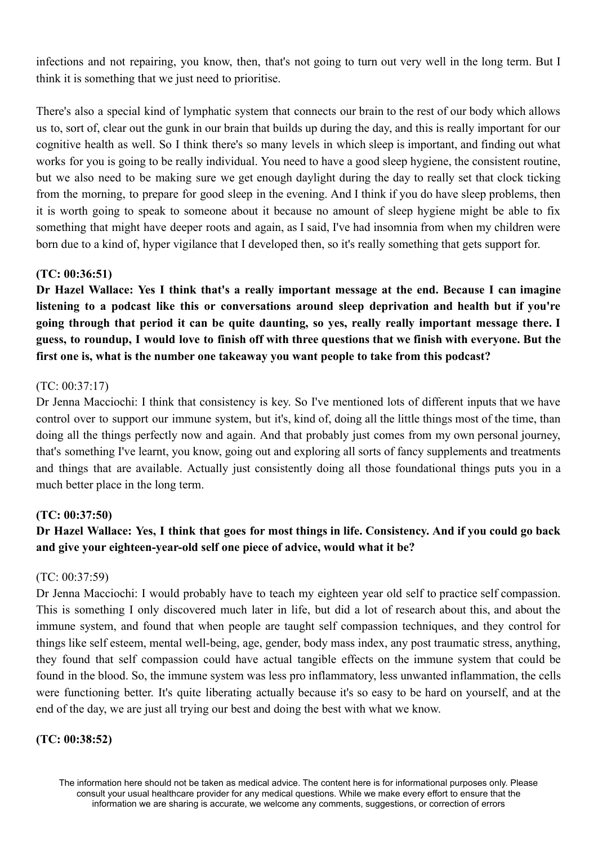infections and not repairing, you know, then, that's not going to turn out very well in the long term. But I think it is something that we just need to prioritise.

There's also a special kind of lymphatic system that connects our brain to the rest of our body which allows us to, sort of, clear out the gunk in our brain that builds up during the day, and this is really important for our cognitive health as well. So I think there's so many levels in which sleep is important, and finding out what works for you is going to be really individual. You need to have a good sleep hygiene, the consistent routine, but we also need to be making sure we get enough daylight during the day to really set that clock ticking from the morning, to prepare for good sleep in the evening. And I think if you do have sleep problems, then it is worth going to speak to someone about it because no amount of sleep hygiene might be able to fix something that might have deeper roots and again, as I said, I've had insomnia from when my children were born due to a kind of, hyper vigilance that I developed then, so it's really something that gets support for.

## **(TC: 00:36:51)**

**Dr Hazel Wallace: Yes I think that's a really important message at the end. Because I can imagine listening to a podcast like this or conversations around sleep deprivation and health but if you're going through that period it can be quite daunting, so yes, really really important message there. I** guess, to roundup, I would love to finish off with three questions that we finish with everyone. But the **first one is, what is the number one takeaway you want people to take from this podcast?**

#### (TC: 00:37:17)

Dr Jenna Macciochi: I think that consistency is key. So I've mentioned lots of different inputs that we have control over to support our immune system, but it's, kind of, doing all the little things most of the time, than doing all the things perfectly now and again. And that probably just comes from my own personal journey, that's something I've learnt, you know, going out and exploring all sorts of fancy supplements and treatments and things that are available. Actually just consistently doing all those foundational things puts you in a much better place in the long term.

#### **(TC: 00:37:50)**

# Dr Hazel Wallace: Yes, I think that goes for most things in life. Consistency. And if you could go back **and give your eighteen-year-old self one piece of advice, would what it be?**

#### (TC: 00:37:59)

Dr Jenna Macciochi: I would probably have to teach my eighteen year old self to practice self compassion. This is something I only discovered much later in life, but did a lot of research about this, and about the immune system, and found that when people are taught self compassion techniques, and they control for things like self esteem, mental well-being, age, gender, body mass index, any post traumatic stress, anything, they found that self compassion could have actual tangible effects on the immune system that could be found in the blood. So, the immune system was less pro inflammatory, less unwanted inflammation, the cells were functioning better. It's quite liberating actually because it's so easy to be hard on yourself, and at the end of the day, we are just all trying our best and doing the best with what we know.

## **(TC: 00:38:52)**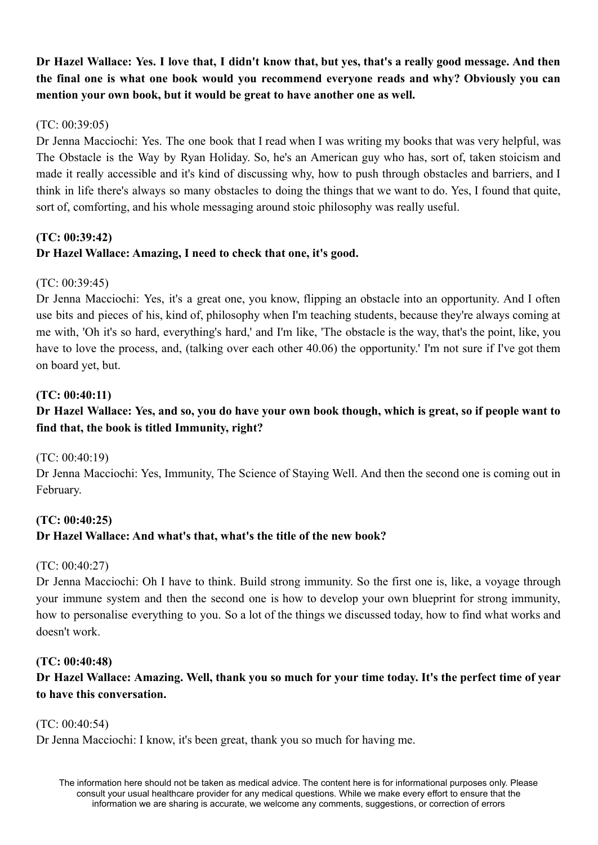Dr Hazel Wallace: Yes. I love that, I didn't know that, but yes, that's a really good message. And then **the final one is what one book would you recommend everyone reads and why? Obviously you can mention your own book, but it would be great to have another one as well.**

## (TC: 00:39:05)

Dr Jenna Macciochi: Yes. The one book that I read when I was writing my books that was very helpful, was The Obstacle is the Way by Ryan Holiday. So, he's an American guy who has, sort of, taken stoicism and made it really accessible and it's kind of discussing why, how to push through obstacles and barriers, and I think in life there's always so many obstacles to doing the things that we want to do. Yes, I found that quite, sort of, comforting, and his whole messaging around stoic philosophy was really useful.

# **(TC: 00:39:42) Dr Hazel Wallace: Amazing, I need to check that one, it's good.**

## $(TC: 00.39.45)$

Dr Jenna Macciochi: Yes, it's a great one, you know, flipping an obstacle into an opportunity. And I often use bits and pieces of his, kind of, philosophy when I'm teaching students, because they're always coming at me with, 'Oh it's so hard, everything's hard,' and I'm like, 'The obstacle is the way, that's the point, like, you have to love the process, and, (talking over each other 40.06) the opportunity.' I'm not sure if I've got them on board yet, but.

## **(TC: 00:40:11)**

# Dr Hazel Wallace: Yes, and so, you do have your own book though, which is great, so if people want to **find that, the book is titled Immunity, right?**

(TC: 00:40:19)

Dr Jenna Macciochi: Yes, Immunity, The Science of Staying Well. And then the second one is coming out in February.

# **(TC: 00:40:25) Dr Hazel Wallace: And what's that, what's the title of the new book?**

## (TC: 00:40:27)

Dr Jenna Macciochi: Oh I have to think. Build strong immunity. So the first one is, like, a voyage through your immune system and then the second one is how to develop your own blueprint for strong immunity, how to personalise everything to you. So a lot of the things we discussed today, how to find what works and doesn't work.

## **(TC: 00:40:48)**

Dr Hazel Wallace: Amazing. Well, thank you so much for your time today. It's the perfect time of year **to have this conversation.**

(TC: 00:40:54)

Dr Jenna Macciochi: I know, it's been great, thank you so much for having me.